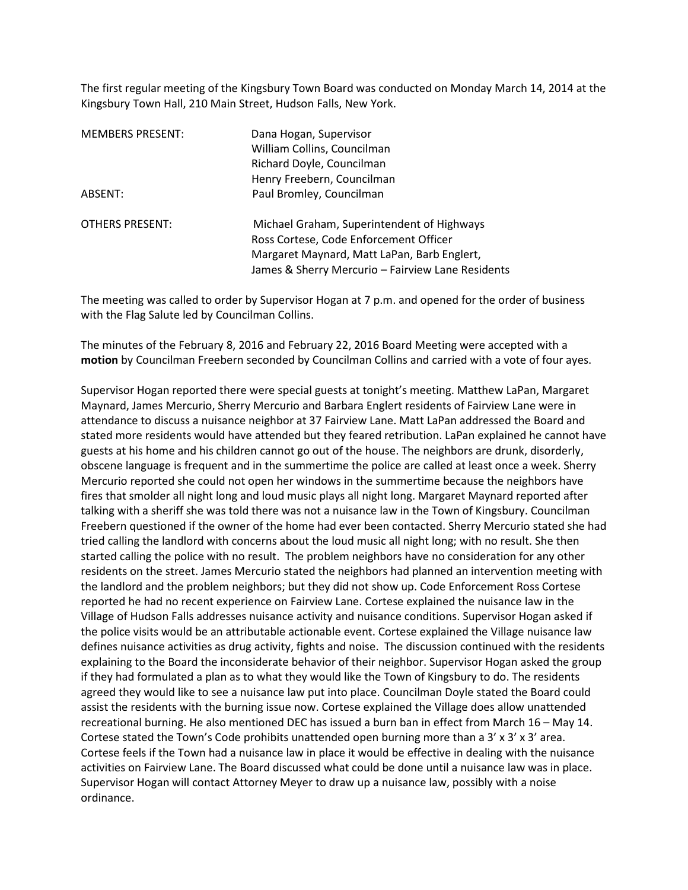The first regular meeting of the Kingsbury Town Board was conducted on Monday March 14, 2014 at the Kingsbury Town Hall, 210 Main Street, Hudson Falls, New York.

| <b>MEMBERS PRESENT:</b> | Dana Hogan, Supervisor<br>William Collins, Councilman<br>Richard Doyle, Councilman<br>Henry Freebern, Councilman                                                                         |
|-------------------------|------------------------------------------------------------------------------------------------------------------------------------------------------------------------------------------|
| ABSENT:                 | Paul Bromley, Councilman                                                                                                                                                                 |
| <b>OTHERS PRESENT:</b>  | Michael Graham, Superintendent of Highways<br>Ross Cortese, Code Enforcement Officer<br>Margaret Maynard, Matt LaPan, Barb Englert,<br>James & Sherry Mercurio - Fairview Lane Residents |

The meeting was called to order by Supervisor Hogan at 7 p.m. and opened for the order of business with the Flag Salute led by Councilman Collins.

The minutes of the February 8, 2016 and February 22, 2016 Board Meeting were accepted with a **motion** by Councilman Freebern seconded by Councilman Collins and carried with a vote of four ayes.

Supervisor Hogan reported there were special guests at tonight's meeting. Matthew LaPan, Margaret Maynard, James Mercurio, Sherry Mercurio and Barbara Englert residents of Fairview Lane were in attendance to discuss a nuisance neighbor at 37 Fairview Lane. Matt LaPan addressed the Board and stated more residents would have attended but they feared retribution. LaPan explained he cannot have guests at his home and his children cannot go out of the house. The neighbors are drunk, disorderly, obscene language is frequent and in the summertime the police are called at least once a week. Sherry Mercurio reported she could not open her windows in the summertime because the neighbors have fires that smolder all night long and loud music plays all night long. Margaret Maynard reported after talking with a sheriff she was told there was not a nuisance law in the Town of Kingsbury. Councilman Freebern questioned if the owner of the home had ever been contacted. Sherry Mercurio stated she had tried calling the landlord with concerns about the loud music all night long; with no result. She then started calling the police with no result. The problem neighbors have no consideration for any other residents on the street. James Mercurio stated the neighbors had planned an intervention meeting with the landlord and the problem neighbors; but they did not show up. Code Enforcement Ross Cortese reported he had no recent experience on Fairview Lane. Cortese explained the nuisance law in the Village of Hudson Falls addresses nuisance activity and nuisance conditions. Supervisor Hogan asked if the police visits would be an attributable actionable event. Cortese explained the Village nuisance law defines nuisance activities as drug activity, fights and noise. The discussion continued with the residents explaining to the Board the inconsiderate behavior of their neighbor. Supervisor Hogan asked the group if they had formulated a plan as to what they would like the Town of Kingsbury to do. The residents agreed they would like to see a nuisance law put into place. Councilman Doyle stated the Board could assist the residents with the burning issue now. Cortese explained the Village does allow unattended recreational burning. He also mentioned DEC has issued a burn ban in effect from March 16 – May 14. Cortese stated the Town's Code prohibits unattended open burning more than a  $3' \times 3' \times 3'$  area. Cortese feels if the Town had a nuisance law in place it would be effective in dealing with the nuisance activities on Fairview Lane. The Board discussed what could be done until a nuisance law was in place. Supervisor Hogan will contact Attorney Meyer to draw up a nuisance law, possibly with a noise ordinance.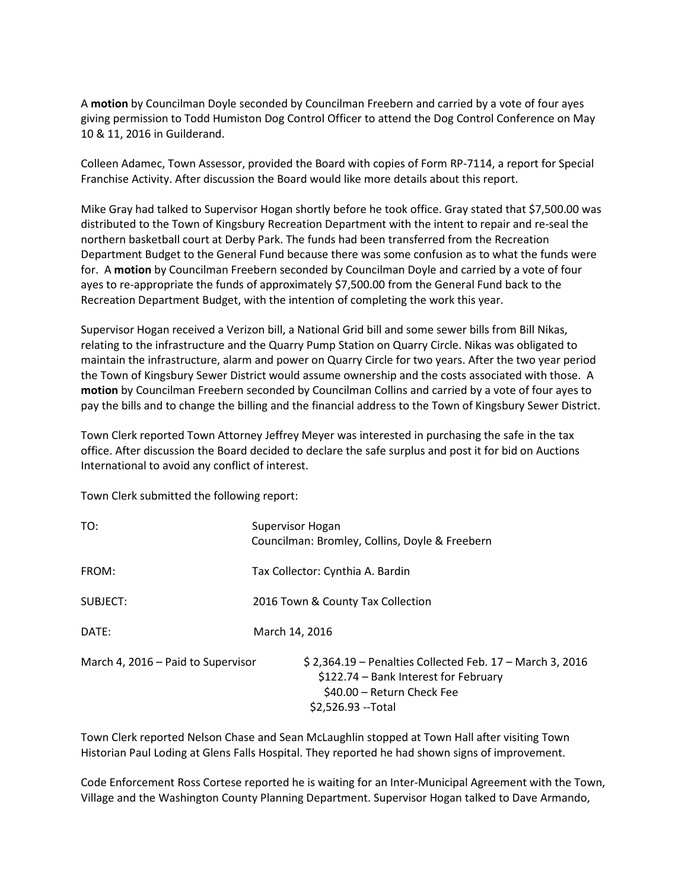A **motion** by Councilman Doyle seconded by Councilman Freebern and carried by a vote of four ayes giving permission to Todd Humiston Dog Control Officer to attend the Dog Control Conference on May 10 & 11, 2016 in Guilderand.

Colleen Adamec, Town Assessor, provided the Board with copies of Form RP-7114, a report for Special Franchise Activity. After discussion the Board would like more details about this report.

Mike Gray had talked to Supervisor Hogan shortly before he took office. Gray stated that \$7,500.00 was distributed to the Town of Kingsbury Recreation Department with the intent to repair and re-seal the northern basketball court at Derby Park. The funds had been transferred from the Recreation Department Budget to the General Fund because there was some confusion as to what the funds were for. A **motion** by Councilman Freebern seconded by Councilman Doyle and carried by a vote of four ayes to re-appropriate the funds of approximately \$7,500.00 from the General Fund back to the Recreation Department Budget, with the intention of completing the work this year.

Supervisor Hogan received a Verizon bill, a National Grid bill and some sewer bills from Bill Nikas, relating to the infrastructure and the Quarry Pump Station on Quarry Circle. Nikas was obligated to maintain the infrastructure, alarm and power on Quarry Circle for two years. After the two year period the Town of Kingsbury Sewer District would assume ownership and the costs associated with those. A **motion** by Councilman Freebern seconded by Councilman Collins and carried by a vote of four ayes to pay the bills and to change the billing and the financial address to the Town of Kingsbury Sewer District.

Town Clerk reported Town Attorney Jeffrey Meyer was interested in purchasing the safe in the tax office. After discussion the Board decided to declare the safe surplus and post it for bid on Auctions International to avoid any conflict of interest.

Town Clerk submitted the following report:

| TO:                                | Supervisor Hogan<br>Councilman: Bromley, Collins, Doyle & Freebern                                                                                      |
|------------------------------------|---------------------------------------------------------------------------------------------------------------------------------------------------------|
| FROM:                              | Tax Collector: Cynthia A. Bardin                                                                                                                        |
| SUBJECT:                           | 2016 Town & County Tax Collection                                                                                                                       |
| DATE:                              | March 14, 2016                                                                                                                                          |
| March 4, 2016 – Paid to Supervisor | $$2,364.19$ – Penalties Collected Feb. 17 – March 3, 2016<br>\$122.74 - Bank Interest for February<br>\$40.00 - Return Check Fee<br>\$2,526.93 -- Total |

Town Clerk reported Nelson Chase and Sean McLaughlin stopped at Town Hall after visiting Town Historian Paul Loding at Glens Falls Hospital. They reported he had shown signs of improvement.

Code Enforcement Ross Cortese reported he is waiting for an Inter-Municipal Agreement with the Town, Village and the Washington County Planning Department. Supervisor Hogan talked to Dave Armando,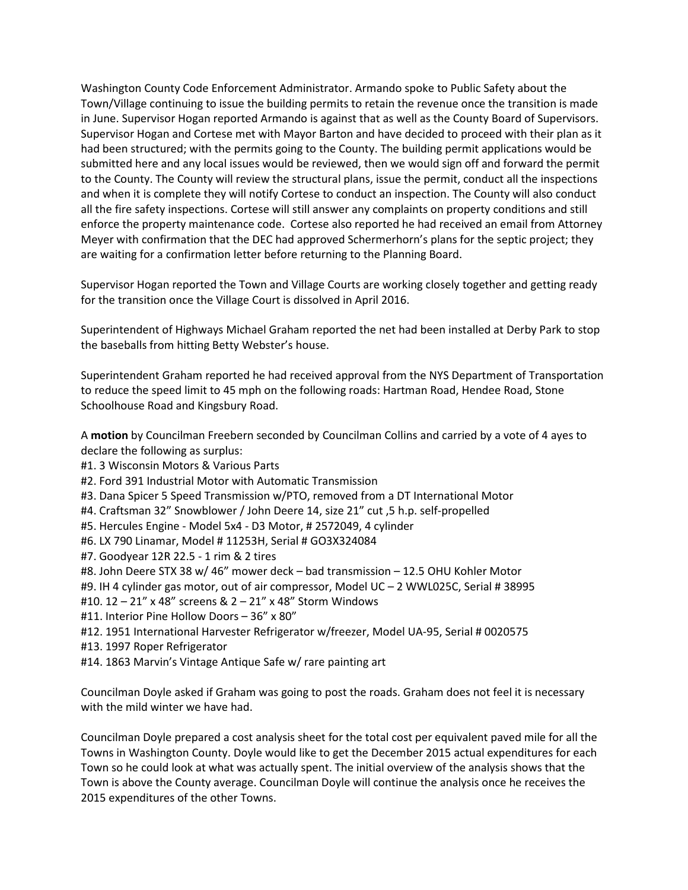Washington County Code Enforcement Administrator. Armando spoke to Public Safety about the Town/Village continuing to issue the building permits to retain the revenue once the transition is made in June. Supervisor Hogan reported Armando is against that as well as the County Board of Supervisors. Supervisor Hogan and Cortese met with Mayor Barton and have decided to proceed with their plan as it had been structured; with the permits going to the County. The building permit applications would be submitted here and any local issues would be reviewed, then we would sign off and forward the permit to the County. The County will review the structural plans, issue the permit, conduct all the inspections and when it is complete they will notify Cortese to conduct an inspection. The County will also conduct all the fire safety inspections. Cortese will still answer any complaints on property conditions and still enforce the property maintenance code. Cortese also reported he had received an email from Attorney Meyer with confirmation that the DEC had approved Schermerhorn's plans for the septic project; they are waiting for a confirmation letter before returning to the Planning Board.

Supervisor Hogan reported the Town and Village Courts are working closely together and getting ready for the transition once the Village Court is dissolved in April 2016.

Superintendent of Highways Michael Graham reported the net had been installed at Derby Park to stop the baseballs from hitting Betty Webster's house.

Superintendent Graham reported he had received approval from the NYS Department of Transportation to reduce the speed limit to 45 mph on the following roads: Hartman Road, Hendee Road, Stone Schoolhouse Road and Kingsbury Road.

A **motion** by Councilman Freebern seconded by Councilman Collins and carried by a vote of 4 ayes to declare the following as surplus:

- #1. 3 Wisconsin Motors & Various Parts
- #2. Ford 391 Industrial Motor with Automatic Transmission
- #3. Dana Spicer 5 Speed Transmission w/PTO, removed from a DT International Motor
- #4. Craftsman 32" Snowblower / John Deere 14, size 21" cut ,5 h.p. self-propelled
- #5. Hercules Engine Model 5x4 D3 Motor, # 2572049, 4 cylinder
- #6. LX 790 Linamar, Model # 11253H, Serial # GO3X324084
- #7. Goodyear 12R 22.5 1 rim & 2 tires
- #8. John Deere STX 38 w/ 46" mower deck bad transmission 12.5 OHU Kohler Motor
- #9. IH 4 cylinder gas motor, out of air compressor, Model UC 2 WWL025C, Serial # 38995
- #10. 12 21" x 48" screens & 2 21" x 48" Storm Windows
- #11. Interior Pine Hollow Doors 36" x 80"
- #12. 1951 International Harvester Refrigerator w/freezer, Model UA-95, Serial # 0020575
- #13. 1997 Roper Refrigerator
- #14. 1863 Marvin's Vintage Antique Safe w/ rare painting art

Councilman Doyle asked if Graham was going to post the roads. Graham does not feel it is necessary with the mild winter we have had.

Councilman Doyle prepared a cost analysis sheet for the total cost per equivalent paved mile for all the Towns in Washington County. Doyle would like to get the December 2015 actual expenditures for each Town so he could look at what was actually spent. The initial overview of the analysis shows that the Town is above the County average. Councilman Doyle will continue the analysis once he receives the 2015 expenditures of the other Towns.